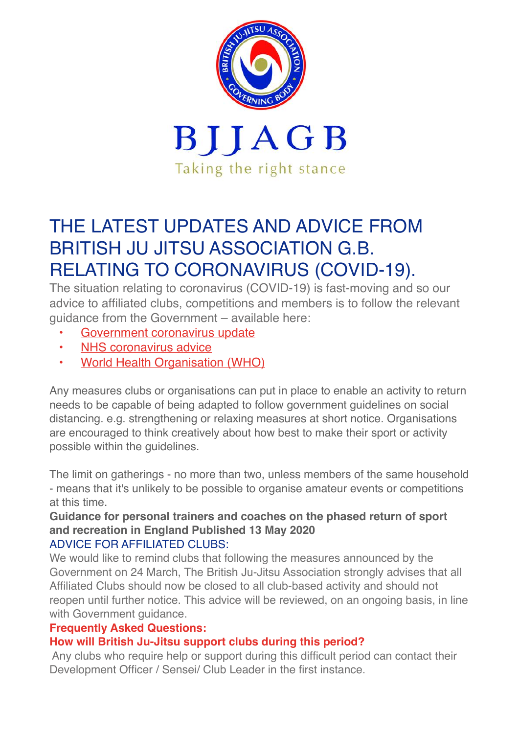

# THE LATEST UPDATES AND ADVICE FROM BRITISH JU JITSU ASSOCIATION G.B. RELATING TO CORONAVIRUS (COVID-19).

The situation relating to coronavirus (COVID-19) is fast-moving and so our advice to affiliated clubs, competitions and members is to follow the relevant guidance from the Government – available here:

- [Government coronavirus update](https://www.gov.uk/coronavirus)
- [NHS coronavirus advice](https://www.nhs.uk/coronavirus)
- **[World Health Organisation \(WHO\)](https://www.who.int/emergencies/diseases/novel-coronavirus-2019)**

Any measures clubs or organisations can put in place to enable an activity to return needs to be capable of being adapted to follow government guidelines on social distancing. e.g. strengthening or relaxing measures at short notice. Organisations are encouraged to think creatively about how best to make their sport or activity possible within the guidelines.

The limit on gatherings - no more than two, unless members of the same household - means that it's unlikely to be possible to organise amateur events or competitions at this time.

# **Guidance for personal trainers and coaches on the phased return of sport and recreation in England Published 13 May 2020**

# ADVICE FOR AFFILIATED CLUBS:

We would like to remind clubs that following the measures announced by the Government on 24 March, The British Ju-Jitsu Association strongly advises that all Affiliated Clubs should now be closed to all club-based activity and should not reopen until further notice. This advice will be reviewed, on an ongoing basis, in line with Government guidance.

# **Frequently Asked Questions:**

# **How will British Ju-Jitsu support clubs during this period?**

 Any clubs who require help or support during this difficult period can contact their Development Officer / Sensei/ Club Leader in the first instance.